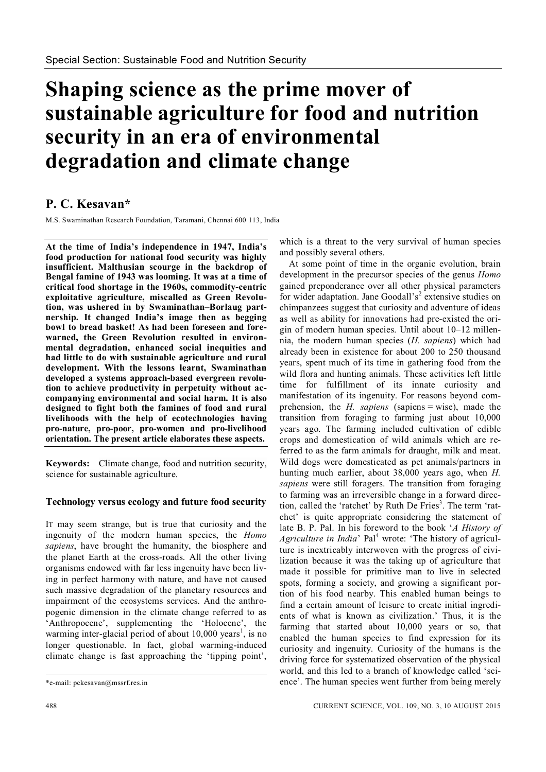# **Shaping science as the prime mover of sustainable agriculture for food and nutrition security in an era of environmental degradation and climate change**

# **P. C. Kesavan\***

M.S. Swaminathan Research Foundation, Taramani, Chennai 600 113, India

**At the time of India's independence in 1947, India's food production for national food security was highly insufficient. Malthusian scourge in the backdrop of Bengal famine of 1943 was looming. It was at a time of critical food shortage in the 1960s, commodity-centric exploitative agriculture, miscalled as Green Revolution, was ushered in by Swaminathan–Borlaug partnership. It changed India's image then as begging bowl to bread basket! As had been foreseen and forewarned, the Green Revolution resulted in environmental degradation, enhanced social inequities and had little to do with sustainable agriculture and rural development. With the lessons learnt, Swaminathan developed a systems approach-based evergreen revolution to achieve productivity in perpetuity without accompanying environmental and social harm. It is also designed to fight both the famines of food and rural livelihoods with the help of ecotechnologies having pro-nature, pro-poor, pro-women and pro-livelihood orientation. The present article elaborates these aspects.**

**Keywords:** Climate change, food and nutrition security, science for sustainable agriculture.

# **Technology versus ecology and future food security**

IT may seem strange, but is true that curiosity and the ingenuity of the modern human species, the *Homo sapiens*, have brought the humanity, the biosphere and the planet Earth at the cross-roads. All the other living organisms endowed with far less ingenuity have been living in perfect harmony with nature, and have not caused such massive degradation of the planetary resources and impairment of the ecosystems services. And the anthropogenic dimension in the climate change referred to as 'Anthropocene', supplementing the 'Holocene', the warming inter-glacial period of about  $10,000$  years<sup>1</sup>, is no longer questionable. In fact, global warming-induced climate change is fast approaching the 'tipping point',

which is a threat to the very survival of human species and possibly several others.

At some point of time in the organic evolution, brain development in the precursor species of the genus *Homo* gained preponderance over all other physical parameters for wider adaptation. Jane Goodall's<sup>2</sup> extensive studies on chimpanzees suggest that curiosity and adventure of ideas as well as ability for innovations had pre-existed the origin of modern human species. Until about 10–12 millennia, the modern human species (*H. sapiens*) which had already been in existence for about 200 to 250 thousand years, spent much of its time in gathering food from the wild flora and hunting animals. These activities left little time for fulfillment of its innate curiosity and manifestation of its ingenuity. For reasons beyond comprehension, the *H. sapiens* (sapiens = wise), made the transition from foraging to farming just about 10,000 years ago. The farming included cultivation of edible crops and domestication of wild animals which are referred to as the farm animals for draught, milk and meat. Wild dogs were domesticated as pet animals/partners in hunting much earlier, about 38,000 years ago, when *H. sapiens* were still foragers. The transition from foraging to farming was an irreversible change in a forward direction, called the 'ratchet' by Ruth De Fries<sup>3</sup>. The term 'ratchet' is quite appropriate considering the statement of late B. P. Pal. In his foreword to the book '*A History of*  Agriculture in India<sup>,</sup> Pal<sup>4</sup> wrote: 'The history of agriculture is inextricably interwoven with the progress of civilization because it was the taking up of agriculture that made it possible for primitive man to live in selected spots, forming a society, and growing a significant portion of his food nearby. This enabled human beings to find a certain amount of leisure to create initial ingredients of what is known as civilization.' Thus, it is the farming that started about 10,000 years or so, that enabled the human species to find expression for its curiosity and ingenuity. Curiosity of the humans is the driving force for systematized observation of the physical world, and this led to a branch of knowledge called 'science'. The human species went further from being merely

<sup>\*</sup>e-mail: pckesavan@mssrf.res.in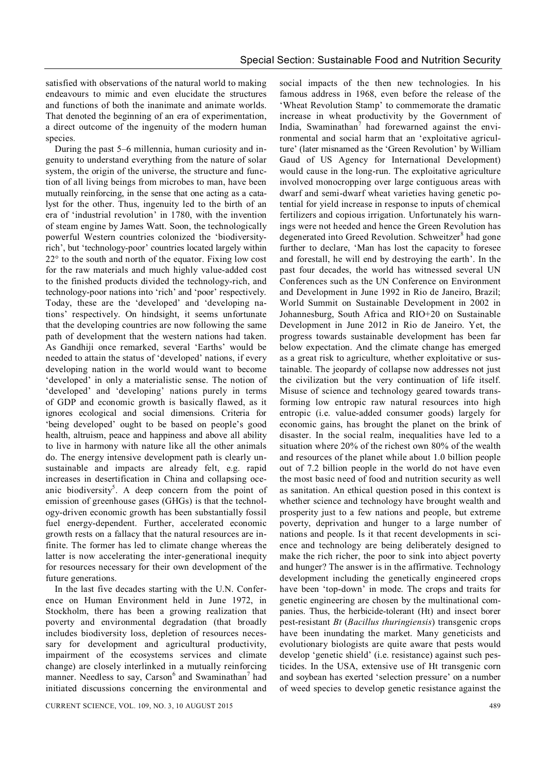satisfied with observations of the natural world to making endeavours to mimic and even elucidate the structures and functions of both the inanimate and animate worlds. That denoted the beginning of an era of experimentation, a direct outcome of the ingenuity of the modern human species.

During the past 5–6 millennia, human curiosity and ingenuity to understand everything from the nature of solar system, the origin of the universe, the structure and function of all living beings from microbes to man, have been mutually reinforcing, in the sense that one acting as a catalyst for the other. Thus, ingenuity led to the birth of an era of 'industrial revolution' in 1780, with the invention of steam engine by James Watt. Soon, the technologically powerful Western countries colonized the 'biodiversityrich', but 'technology-poor' countries located largely within  $22^{\circ}$  to the south and north of the equator. Fixing low cost for the raw materials and much highly value-added cost to the finished products divided the technology-rich, and technology-poor nations into 'rich' and 'poor' respectively. Today, these are the 'developed' and 'developing nations' respectively. On hindsight, it seems unfortunate that the developing countries are now following the same path of development that the western nations had taken. As Gandhiji once remarked, several 'Earths' would be needed to attain the status of 'developed' nations, if every developing nation in the world would want to become 'developed' in only a materialistic sense. The notion of 'developed' and 'developing' nations purely in terms of GDP and economic growth is basically flawed, as it ignores ecological and social dimensions. Criteria for 'being developed' ought to be based on people's good health, altruism, peace and happiness and above all ability to live in harmony with nature like all the other animals do. The energy intensive development path is clearly unsustainable and impacts are already felt, e.g. rapid increases in desertification in China and collapsing oceanic biodiversity<sup>5</sup>. A deep concern from the point of emission of greenhouse gases (GHGs) is that the technology-driven economic growth has been substantially fossil fuel energy-dependent. Further, accelerated economic growth rests on a fallacy that the natural resources are infinite. The former has led to climate change whereas the latter is now accelerating the inter-generational inequity for resources necessary for their own development of the future generations.

In the last five decades starting with the U.N. Conference on Human Environment held in June 1972, in Stockholm, there has been a growing realization that poverty and environmental degradation (that broadly includes biodiversity loss, depletion of resources necessary for development and agricultural productivity, impairment of the ecosystems services and climate change) are closely interlinked in a mutually reinforcing manner. Needless to say, Carson<sup>6</sup> and Swaminathan<sup>7</sup> had initiated discussions concerning the environmental and

social impacts of the then new technologies. In his famous address in 1968, even before the release of the 'Wheat Revolution Stamp' to commemorate the dramatic increase in wheat productivity by the Government of India, Swaminathan $<sup>7</sup>$  had forewarned against the envi-</sup> ronmental and social harm that an 'exploitative agriculture' (later misnamed as the 'Green Revolution' by William Gaud of US Agency for International Development) would cause in the long-run. The exploitative agriculture involved monocropping over large contiguous areas with dwarf and semi-dwarf wheat varieties having genetic potential for yield increase in response to inputs of chemical fertilizers and copious irrigation. Unfortunately his warnings were not heeded and hence the Green Revolution has degenerated into Greed Revolution. Schweitzer<sup>8</sup> had gone further to declare, 'Man has lost the capacity to foresee and forestall, he will end by destroying the earth'. In the past four decades, the world has witnessed several UN Conferences such as the UN Conference on Environment and Development in June 1992 in Rio de Janeiro, Brazil; World Summit on Sustainable Development in 2002 in Johannesburg, South Africa and RIO+20 on Sustainable Development in June 2012 in Rio de Janeiro. Yet, the progress towards sustainable development has been far below expectation. And the climate change has emerged as a great risk to agriculture, whether exploitative or sustainable. The jeopardy of collapse now addresses not just the civilization but the very continuation of life itself. Misuse of science and technology geared towards transforming low entropic raw natural resources into high entropic (i.e. value-added consumer goods) largely for economic gains, has brought the planet on the brink of disaster. In the social realm, inequalities have led to a situation where 20% of the richest own 80% of the wealth and resources of the planet while about 1.0 billion people out of 7.2 billion people in the world do not have even the most basic need of food and nutrition security as well as sanitation. An ethical question posed in this context is whether science and technology have brought wealth and prosperity just to a few nations and people, but extreme poverty, deprivation and hunger to a large number of nations and people. Is it that recent developments in science and technology are being deliberately designed to make the rich richer, the poor to sink into abject poverty and hunger? The answer is in the affirmative. Technology development including the genetically engineered crops have been 'top-down' in mode. The crops and traits for genetic engineering are chosen by the multinational companies. Thus, the herbicide-tolerant (Ht) and insect borer pest-resistant *Bt* (*Bacillus thuringiensis*) transgenic crops have been inundating the market. Many geneticists and evolutionary biologists are quite aware that pests would develop 'genetic shield' (i.e. resistance) against such pesticides. In the USA, extensive use of Ht transgenic corn and soybean has exerted 'selection pressure' on a number of weed species to develop genetic resistance against the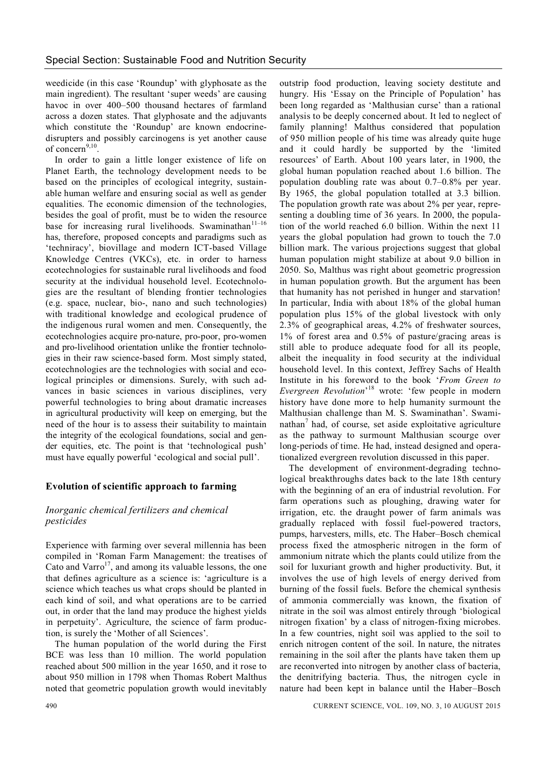weedicide (in this case 'Roundup' with glyphosate as the main ingredient). The resultant 'super weeds' are causing havoc in over 400–500 thousand hectares of farmland across a dozen states. That glyphosate and the adjuvants which constitute the 'Roundup' are known endocrinedisrupters and possibly carcinogens is yet another cause of concern<sup>9,10</sup>.

In order to gain a little longer existence of life on Planet Earth, the technology development needs to be based on the principles of ecological integrity, sustainable human welfare and ensuring social as well as gender equalities. The economic dimension of the technologies, besides the goal of profit, must be to widen the resource base for increasing rural livelihoods. Swaminathan<sup>11-16</sup> has, therefore, proposed concepts and paradigms such as 'techniracy', biovillage and modern ICT-based Village Knowledge Centres (VKCs), etc. in order to harness ecotechnologies for sustainable rural livelihoods and food security at the individual household level. Ecotechnologies are the resultant of blending frontier technologies (e.g. space, nuclear, bio-, nano and such technologies) with traditional knowledge and ecological prudence of the indigenous rural women and men. Consequently, the ecotechnologies acquire pro-nature, pro-poor, pro-women and pro-livelihood orientation unlike the frontier technologies in their raw science-based form. Most simply stated, ecotechnologies are the technologies with social and ecological principles or dimensions. Surely, with such advances in basic sciences in various disciplines, very powerful technologies to bring about dramatic increases in agricultural productivity will keep on emerging, but the need of the hour is to assess their suitability to maintain the integrity of the ecological foundations, social and gender equities, etc. The point is that 'technological push' must have equally powerful 'ecological and social pull'.

# **Evolution of scientific approach to farming**

# *Inorganic chemical fertilizers and chemical pesticides*

Experience with farming over several millennia has been compiled in 'Roman Farm Management: the treatises of Cato and Varro<sup>17</sup>, and among its valuable lessons, the one that defines agriculture as a science is: 'agriculture is a science which teaches us what crops should be planted in each kind of soil, and what operations are to be carried out, in order that the land may produce the highest yields in perpetuity'. Agriculture, the science of farm production, is surely the 'Mother of all Sciences'.

The human population of the world during the First BCE was less than 10 million. The world population reached about 500 million in the year 1650, and it rose to about 950 million in 1798 when Thomas Robert Malthus noted that geometric population growth would inevitably

outstrip food production, leaving society destitute and hungry. His 'Essay on the Principle of Population' has been long regarded as 'Malthusian curse' than a rational analysis to be deeply concerned about. It led to neglect of family planning! Malthus considered that population of 950 million people of his time was already quite huge and it could hardly be supported by the 'limited resources' of Earth. About 100 years later, in 1900, the global human population reached about 1.6 billion. The population doubling rate was about 0.7–0.8% per year. By 1965, the global population totalled at 3.3 billion. The population growth rate was about 2% per year, representing a doubling time of 36 years. In 2000, the population of the world reached 6.0 billion. Within the next 11 years the global population had grown to touch the 7.0 billion mark. The various projections suggest that global human population might stabilize at about 9.0 billion in 2050. So, Malthus was right about geometric progression in human population growth. But the argument has been that humanity has not perished in hunger and starvation! In particular, India with about 18% of the global human population plus 15% of the global livestock with only 2.3% of geographical areas, 4.2% of freshwater sources, 1% of forest area and 0.5% of pasture/gracing areas is still able to produce adequate food for all its people, albeit the inequality in food security at the individual household level. In this context, Jeffrey Sachs of Health Institute in his foreword to the book '*From Green to Evergreen Revolution*' <sup>18</sup> wrote: 'few people in modern history have done more to help humanity surmount the Malthusian challenge than M. S. Swaminathan'. Swaminathan<sup>7</sup> had, of course, set aside exploitative agriculture as the pathway to surmount Malthusian scourge over long-periods of time. He had, instead designed and operationalized evergreen revolution discussed in this paper.

The development of environment-degrading technological breakthroughs dates back to the late 18th century with the beginning of an era of industrial revolution. For farm operations such as ploughing, drawing water for irrigation, etc. the draught power of farm animals was gradually replaced with fossil fuel-powered tractors, pumps, harvesters, mills, etc. The Haber–Bosch chemical process fixed the atmospheric nitrogen in the form of ammonium nitrate which the plants could utilize from the soil for luxuriant growth and higher productivity. But, it involves the use of high levels of energy derived from burning of the fossil fuels. Before the chemical synthesis of ammonia commercially was known, the fixation of nitrate in the soil was almost entirely through 'biological nitrogen fixation' by a class of nitrogen-fixing microbes. In a few countries, night soil was applied to the soil to enrich nitrogen content of the soil. In nature, the nitrates remaining in the soil after the plants have taken them up are reconverted into nitrogen by another class of bacteria, the denitrifying bacteria. Thus, the nitrogen cycle in nature had been kept in balance until the Haber–Bosch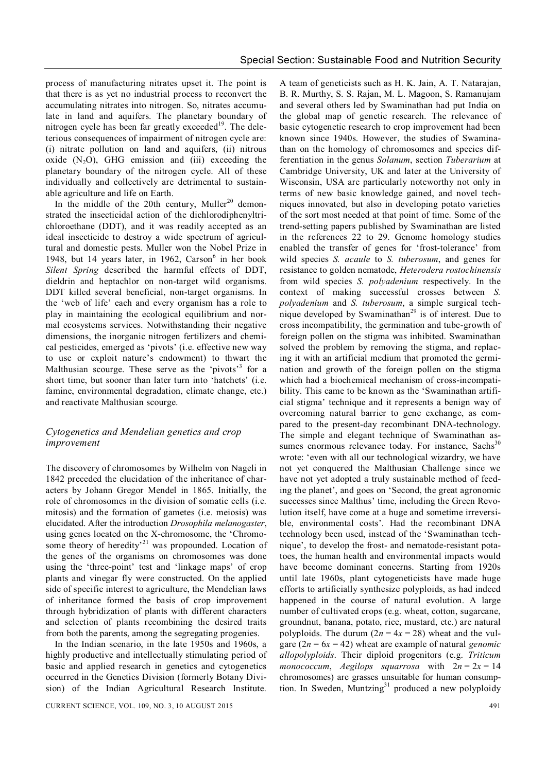process of manufacturing nitrates upset it. The point is that there is as yet no industrial process to reconvert the accumulating nitrates into nitrogen. So, nitrates accumulate in land and aquifers. The planetary boundary of nitrogen cycle has been far greatly exceeded<sup>19</sup>. The deleterious consequences of impairment of nitrogen cycle are: (i) nitrate pollution on land and aquifers, (ii) nitrous oxide  $(N_2O)$ , GHG emission and (iii) exceeding the planetary boundary of the nitrogen cycle. All of these individually and collectively are detrimental to sustainable agriculture and life on Earth.

In the middle of the 20th century, Muller<sup>20</sup> demonstrated the insecticidal action of the dichlorodiphenyltrichloroethane (DDT), and it was readily accepted as an ideal insecticide to destroy a wide spectrum of agricultural and domestic pests. Muller won the Nobel Prize in 1948, but 14 years later, in 1962, Carson<sup>6</sup> in her book *Silent Spring* described the harmful effects of DDT, dieldrin and heptachlor on non-target wild organisms. DDT killed several beneficial, non-target organisms. In the 'web of life' each and every organism has a role to play in maintaining the ecological equilibrium and normal ecosystems services. Notwithstanding their negative dimensions, the inorganic nitrogen fertilizers and chemical pesticides, emerged as 'pivots' (i.e. effective new way to use or exploit nature's endowment) to thwart the Malthusian scourge. These serve as the 'pivots'<sup>3</sup> for a short time, but sooner than later turn into 'hatchets' (i.e. famine, environmental degradation, climate change, etc.) and reactivate Malthusian scourge.

## *Cytogenetics and Mendelian genetics and crop improvement*

The discovery of chromosomes by Wilhelm von Nageli in 1842 preceded the elucidation of the inheritance of characters by Johann Gregor Mendel in 1865. Initially, the role of chromosomes in the division of somatic cells (i.e. mitosis) and the formation of gametes (i.e. meiosis) was elucidated. After the introduction *Drosophila melanogaster*, using genes located on the X-chromosome, the 'Chromosome theory of heredity<sup>21</sup> was propounded. Location of the genes of the organisms on chromosomes was done using the 'three-point' test and 'linkage maps' of crop plants and vinegar fly were constructed. On the applied side of specific interest to agriculture, the Mendelian laws of inheritance formed the basis of crop improvement through hybridization of plants with different characters and selection of plants recombining the desired traits from both the parents, among the segregating progenies.

In the Indian scenario, in the late 1950s and 1960s, a highly productive and intellectually stimulating period of basic and applied research in genetics and cytogenetics occurred in the Genetics Division (formerly Botany Division) of the Indian Agricultural Research Institute.

A team of geneticists such as H. K. Jain, A. T. Natarajan, B. R. Murthy, S. S. Rajan, M. L. Magoon, S. Ramanujam and several others led by Swaminathan had put India on the global map of genetic research. The relevance of basic cytogenetic research to crop improvement had been known since 1940s. However, the studies of Swaminathan on the homology of chromosomes and species differentiation in the genus *Solanum*, section *Tuberarium* at Cambridge University, UK and later at the University of Wisconsin, USA are particularly noteworthy not only in terms of new basic knowledge gained, and novel techniques innovated, but also in developing potato varieties of the sort most needed at that point of time. Some of the trend-setting papers published by Swaminathan are listed in the references 22 to 29. Genome homology studies enabled the transfer of genes for 'frost-tolerance' from wild species *S. acaule* to *S. tuberosum*, and genes for resistance to golden nematode, *Heterodera rostochinensis* from wild species *S. polyadenium* respectively. In the context of making successful crosses between *S. polyadenium* and *S. tuberosum*, a simple surgical technique developed by Swaminathan<sup>29</sup> is of interest. Due to cross incompatibility, the germination and tube-growth of foreign pollen on the stigma was inhibited. Swaminathan solved the problem by removing the stigma, and replacing it with an artificial medium that promoted the germination and growth of the foreign pollen on the stigma which had a biochemical mechanism of cross-incompatibility. This came to be known as the 'Swaminathan artificial stigma' technique and it represents a benign way of overcoming natural barrier to gene exchange, as compared to the present-day recombinant DNA-technology. The simple and elegant technique of Swaminathan assumes enormous relevance today. For instance, Sachs<sup>30</sup> wrote: 'even with all our technological wizardry, we have not yet conquered the Malthusian Challenge since we have not vet adopted a truly sustainable method of feeding the planet', and goes on 'Second, the great agronomic successes since Malthus' time, including the Green Revolution itself, have come at a huge and sometime irreversible, environmental costs'. Had the recombinant DNA technology been used, instead of the 'Swaminathan technique', to develop the frost- and nematode-resistant potatoes, the human health and environmental impacts would have become dominant concerns. Starting from 1920s until late 1960s, plant cytogeneticists have made huge efforts to artificially synthesize polyploids, as had indeed happened in the course of natural evolution. A large number of cultivated crops (e.g. wheat, cotton, sugarcane, groundnut, banana, potato, rice, mustard, etc.) are natural polyploids. The durum  $(2n = 4x = 28)$  wheat and the vulgare  $(2n = 6x = 42)$  wheat are example of natural *genomic allopolyploids*. Their diploid progenitors (e.g. *Triticum monococcum, Aegilops squarrosa* with  $2n = 2x = 14$ chromosomes) are grasses unsuitable for human consumption. In Sweden, Muntzing<sup>31</sup> produced a new polyploidy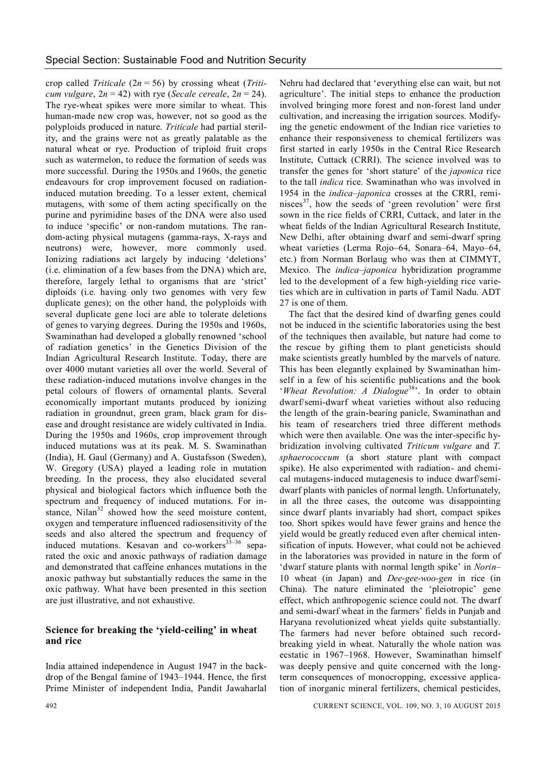crop called *Triticale* (2*n* = 56) by crossing wheat (*Triticum vulgare*,  $2n = 42$ ) with rye (*Secale cereale*,  $2n = 24$ ). The rye-wheat spikes were more similar to wheat. This human-made new crop was, however, not so good as the polyploids produced in nature. *Triticale* had partial sterility, and the grains were not as greatly palatable as the natural wheat or rye. Production of triploid fruit crops such as watermelon, to reduce the formation of seeds was more successful. During the 1950s and 1960s, the genetic endeavours for crop improvement focused on radiationinduced mutation breeding. To a lesser extent, chemical mutagens, with some of them acting specifically on the purine and pyrimidine bases of the DNA were also used to induce 'specific' or non-random mutations. The random-acting physical mutagens (gamma-rays, X-rays and neutrons) were, however, more commonly used. Ionizing radiations act largely by inducing 'deletions' (i.e. elimination of a few bases from the DNA) which are, therefore, largely lethal to organisms that are 'strict' diploids (i.e. having only two genomes with very few duplicate genes); on the other hand, the polyploids with several duplicate gene loci are able to tolerate deletions of genes to varying degrees. During the 1950s and 1960s, Swaminathan had developed a globally renowned 'school of radiation genetics' in the Genetics Division of the Indian Agricultural Research Institute. Today, there are over 4000 mutant varieties all over the world. Several of these radiation-induced mutations involve changes in the petal colours of flowers of ornamental plants. Several economically important mutants produced by ionizing radiation in groundnut, green gram, black gram for disease and drought resistance are widely cultivated in India. During the 1950s and 1960s, crop improvement through induced mutations was at its peak. M. S. Swaminathan (India), H. Gaul (Germany) and A. Gustafsson (Sweden), W. Gregory (USA) played a leading role in mutation breeding. In the process, they also elucidated several physical and biological factors which influence both the spectrum and frequency of induced mutations. For instance. Nilan<sup>32</sup> showed how the seed moisture content, oxygen and temperature influenced radiosensitivity of the seeds and also altered the spectrum and frequency of induced mutations. Kesavan and co-workers<sup>33-36</sup> separated the oxic and anoxic pathways of radiation damage and demonstrated that caffeine enhances mutations in the anoxic pathway but substantially reduces the same in the oxic pathway. What have been presented in this section are just illustrative, and not exhaustive.

## **Science for breaking the 'yield-ceiling' in wheat and rice**

India attained independence in August 1947 in the backdrop of the Bengal famine of 1943–1944. Hence, the first Prime Minister of independent India, Pandit Jawaharlal

Nehru had declared that 'everything else can wait, but not agriculture'. The initial steps to enhance the production involved bringing more forest and non-forest land under cultivation, and increasing the irrigation sources. Modifying the genetic endowment of the Indian rice varieties to enhance their responsiveness to chemical fertilizers was first started in early 1950s in the Central Rice Research Institute, Cuttack (CRRI). The science involved was to transfer the genes for 'short stature' of the *japonica* rice to the tall *indica* rice. Swaminathan who was involved in 1954 in the *indica–japonica* crosses at the CRRI, reminisces<sup>37</sup>, how the seeds of 'green revolution' were first sown in the rice fields of CRRI, Cuttack, and later in the wheat fields of the Indian Agricultural Research Institute, New Delhi, after obtaining dwarf and semi-dwarf spring wheat varieties (Lerma Rojo–64, Sonara–64, Mayo–64, etc.) from Norman Borlaug who was then at CIMMYT, Mexico. The *indica–japonica* hybridization programme led to the development of a few high-yielding rice varieties which are in cultivation in parts of Tamil Nadu. ADT 27 is one of them.

The fact that the desired kind of dwarfing genes could not be induced in the scientific laboratories using the best of the techniques then available, but nature had come to the rescue by gifting them to plant geneticists should make scientists greatly humbled by the marvels of nature. This has been elegantly explained by Swaminathan himself in a few of his scientific publications and the book '*Wheat Revolution: A Dialogue*<sup>38</sup>'. In order to obtain dwarf/semi-dwarf wheat varieties without also reducing the length of the grain-bearing panicle, Swaminathan and his team of researchers tried three different methods which were then available. One was the inter-specific hybridization involving cultivated *Triticum vulgare* and *T. sphaerococcum* (a short stature plant with compact spike). He also experimented with radiation- and chemical mutagens-induced mutagenesis to induce dwarf/semidwarf plants with panicles of normal length. Unfortunately, in all the three cases, the outcome was disappointing since dwarf plants invariably had short, compact spikes too. Short spikes would have fewer grains and hence the yield would be greatly reduced even after chemical intensification of inputs. However, what could not be achieved in the laboratories was provided in nature in the form of 'dwarf stature plants with normal length spike' in *Norin*– 10 wheat (in Japan) and *Dee-gee-woo-gen* in rice (in China). The nature eliminated the 'pleiotropic' gene effect, which anthropogenic science could not. The dwarf and semi-dwarf wheat in the farmers' fields in Punjab and Haryana revolutionized wheat yields quite substantially. The farmers had never before obtained such recordbreaking yield in wheat. Naturally the whole nation was ecstatic in 1967–1968. However, Swaminathan himself was deeply pensive and quite concerned with the longterm consequences of monocropping, excessive application of inorganic mineral fertilizers, chemical pesticides,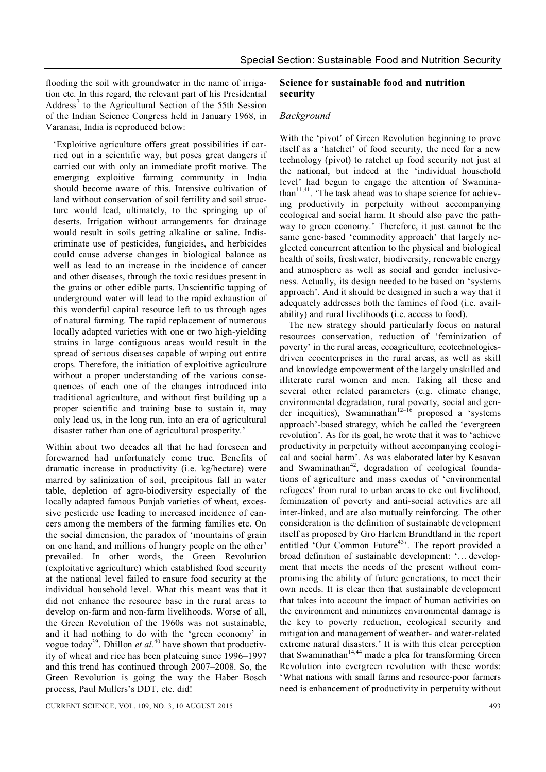flooding the soil with groundwater in the name of irrigation etc. In this regard, the relevant part of his Presidential Address<sup>7</sup> to the Agricultural Section of the 55th Session of the Indian Science Congress held in January 1968, in Varanasi, India is reproduced below:

'Exploitive agriculture offers great possibilities if carried out in a scientific way, but poses great dangers if carried out with only an immediate profit motive. The emerging exploitive farming community in India should become aware of this. Intensive cultivation of land without conservation of soil fertility and soil structure would lead, ultimately, to the springing up of deserts. Irrigation without arrangements for drainage would result in soils getting alkaline or saline. Indiscriminate use of pesticides, fungicides, and herbicides could cause adverse changes in biological balance as well as lead to an increase in the incidence of cancer and other diseases, through the toxic residues present in the grains or other edible parts. Unscientific tapping of underground water will lead to the rapid exhaustion of this wonderful capital resource left to us through ages of natural farming. The rapid replacement of numerous locally adapted varieties with one or two high-yielding strains in large contiguous areas would result in the spread of serious diseases capable of wiping out entire crops. Therefore, the initiation of exploitive agriculture without a proper understanding of the various consequences of each one of the changes introduced into traditional agriculture, and without first building up a proper scientific and training base to sustain it, may only lead us, in the long run, into an era of agricultural disaster rather than one of agricultural prosperity.'

Within about two decades all that he had foreseen and forewarned had unfortunately come true. Benefits of dramatic increase in productivity (i.e. kg/hectare) were marred by salinization of soil, precipitous fall in water table, depletion of agro-biodiversity especially of the locally adapted famous Punjab varieties of wheat, excessive pesticide use leading to increased incidence of cancers among the members of the farming families etc. On the social dimension, the paradox of 'mountains of grain on one hand, and millions of hungry people on the other' prevailed. In other words, the Green Revolution (exploitative agriculture) which established food security at the national level failed to ensure food security at the individual household level. What this meant was that it did not enhance the resource base in the rural areas to develop on-farm and non-farm livelihoods. Worse of all, the Green Revolution of the 1960s was not sustainable, and it had nothing to do with the 'green economy' in vogue today<sup>39</sup>. Dhillon *et al*.<sup>40</sup> have shown that productivity of wheat and rice has been plateuing since 1996–1997 and this trend has continued through 2007–2008. So, the Green Revolution is going the way the Haber–Bosch process, Paul Mullers's DDT, etc. did!

#### **Science for sustainable food and nutrition security**

#### *Background*

With the 'pivot' of Green Revolution beginning to prove itself as a 'hatchet' of food security, the need for a new technology (pivot) to ratchet up food security not just at the national, but indeed at the 'individual household level' had begun to engage the attention of Swaminathan<sup>11,41</sup>. 'The task ahead was to shape science for achieving productivity in perpetuity without accompanying ecological and social harm. It should also pave the pathway to green economy.' Therefore, it just cannot be the same gene-based 'commodity approach' that largely neglected concurrent attention to the physical and biological health of soils, freshwater, biodiversity, renewable energy and atmosphere as well as social and gender inclusiveness. Actually, its design needed to be based on 'systems approach'. And it should be designed in such a way that it adequately addresses both the famines of food (i.e. availability) and rural livelihoods (i.e. access to food).

The new strategy should particularly focus on natural resources conservation, reduction of 'feminization of poverty' in the rural areas, ecoagriculture, ecotechnologiesdriven ecoenterprises in the rural areas, as well as skill and knowledge empowerment of the largely unskilled and illiterate rural women and men. Taking all these and several other related parameters (e.g. climate change, environmental degradation, rural poverty, social and gender inequities), Swaminathan<sup>12–16</sup> proposed a 'systems approach'-based strategy, which he called the 'evergreen revolution'*.* As for its goal, he wrote that it was to 'achieve productivity in perpetuity without accompanying ecological and social harm'. As was elaborated later by Kesavan and Swaminathan<sup>42</sup>, degradation of ecological foundations of agriculture and mass exodus of 'environmental refugees' from rural to urban areas to eke out livelihood, feminization of poverty and anti-social activities are all inter-linked, and are also mutually reinforcing. The other consideration is the definition of sustainable development itself as proposed by Gro Harlem Brundtland in the report entitled 'Our Common Future<sup>43</sup>'. The report provided a broad definition of sustainable development: '… development that meets the needs of the present without compromising the ability of future generations, to meet their own needs. It is clear then that sustainable development that takes into account the impact of human activities on the environment and minimizes environmental damage is the key to poverty reduction, ecological security and mitigation and management of weather- and water-related extreme natural disasters.' It is with this clear perception that Swaminathan<sup>14,44</sup> made a plea for transforming Green Revolution into evergreen revolution with these words: 'What nations with small farms and resource-poor farmers need is enhancement of productivity in perpetuity without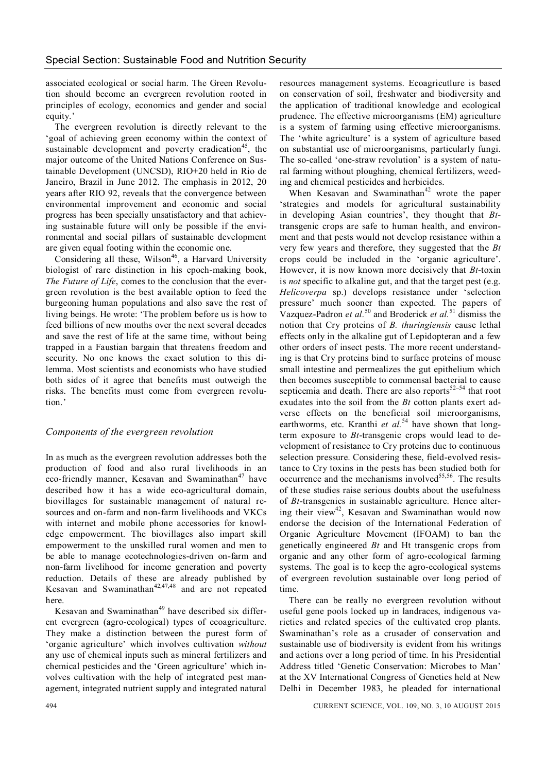associated ecological or social harm. The Green Revolution should become an evergreen revolution rooted in principles of ecology, economics and gender and social equity.'

The evergreen revolution is directly relevant to the 'goal of achieving green economy within the context of sustainable development and poverty eradication<sup>45</sup>, the major outcome of the United Nations Conference on Sustainable Development (UNCSD), RIO+20 held in Rio de Janeiro, Brazil in June 2012. The emphasis in 2012, 20 years after RIO 92, reveals that the convergence between environmental improvement and economic and social progress has been specially unsatisfactory and that achieving sustainable future will only be possible if the environmental and social pillars of sustainable development are given equal footing within the economic one.

Considering all these, Wilson<sup>46</sup>, a Harvard University biologist of rare distinction in his epoch-making book, *The Future of Life*, comes to the conclusion that the evergreen revolution is the best available option to feed the burgeoning human populations and also save the rest of living beings. He wrote: 'The problem before us is how to feed billions of new mouths over the next several decades and save the rest of life at the same time, without being trapped in a Faustian bargain that threatens freedom and security. No one knows the exact solution to this dilemma. Most scientists and economists who have studied both sides of it agree that benefits must outweigh the risks. The benefits must come from evergreen revolution.'

#### *Components of the evergreen revolution*

In as much as the evergreen revolution addresses both the production of food and also rural livelihoods in an eco-friendly manner. Kesavan and Swaminathan<sup>47</sup> have described how it has a wide eco-agricultural domain, biovillages for sustainable management of natural resources and on-farm and non-farm livelihoods and VKCs with internet and mobile phone accessories for knowledge empowerment. The biovillages also impart skill empowerment to the unskilled rural women and men to be able to manage ecotechnologies-driven on-farm and non-farm livelihood for income generation and poverty reduction. Details of these are already published by Kesavan and Swaminathan<sup> $42,47,48$ </sup> and are not repeated here.

Kesavan and Swaminathan<sup>49</sup> have described six different evergreen (agro-ecological) types of ecoagriculture. They make a distinction between the purest form of 'organic agriculture' which involves cultivation *without* any use of chemical inputs such as mineral fertilizers and chemical pesticides and the 'Green agriculture' which involves cultivation with the help of integrated pest management, integrated nutrient supply and integrated natural

resources management systems. Ecoagricutlure is based on conservation of soil, freshwater and biodiversity and the application of traditional knowledge and ecological prudence. The effective microorganisms (EM) agriculture is a system of farming using effective microorganisms. The 'white agriculture' is a system of agriculture based on substantial use of microorganisms, particularly fungi. The so-called 'one-straw revolution' is a system of natural farming without ploughing, chemical fertilizers, weeding and chemical pesticides and herbicides.

When Kesavan and Swaminathan<sup>42</sup> wrote the paper 'strategies and models for agricultural sustainability in developing Asian countries', they thought that *Bt*transgenic crops are safe to human health, and environment and that pests would not develop resistance within a very few years and therefore, they suggested that the *Bt* crops could be included in the 'organic agriculture'. However, it is now known more decisively that *Bt*-toxin is *not* specific to alkaline gut, and that the target pest (e.g. *Helicoverpa* sp.) develops resistance under 'selection pressure' much sooner than expected. The papers of Vazquez-Padron *et al.*<sup>50</sup> and Broderick *et al.*<sup>51</sup> dismiss the notion that Cry proteins of *B. thuringiensis* cause lethal effects only in the alkaline gut of Lepidopteran and a few other orders of insect pests. The more recent understanding is that Cry proteins bind to surface proteins of mouse small intestine and permealizes the gut epithelium which then becomes susceptible to commensal bacterial to cause septicemia and death. There are also reports $52-54$  that root exudates into the soil from the *Bt* cotton plants exert adverse effects on the beneficial soil microorganisms, earthworms, etc. Kranthi et al.<sup>54</sup> have shown that longterm exposure to *Bt*-transgenic crops would lead to development of resistance to Cry proteins due to continuous selection pressure. Considering these, field-evolved resistance to Cry toxins in the pests has been studied both for occurrence and the mechanisms involved $55,56$ . The results of these studies raise serious doubts about the usefulness of *Bt*-transgenics in sustainable agriculture. Hence altering their view<sup>42</sup>. Kesavan and Swaminathan would now endorse the decision of the International Federation of Organic Agriculture Movement (IFOAM) to ban the genetically engineered *Bt* and Ht transgenic crops from organic and any other form of agro-ecological farming systems. The goal is to keep the agro-ecological systems of evergreen revolution sustainable over long period of time.

There can be really no evergreen revolution without useful gene pools locked up in landraces, indigenous varieties and related species of the cultivated crop plants. Swaminathan's role as a crusader of conservation and sustainable use of biodiversity is evident from his writings and actions over a long period of time. In his Presidential Address titled 'Genetic Conservation: Microbes to Man' at the XV International Congress of Genetics held at New Delhi in December 1983, he pleaded for international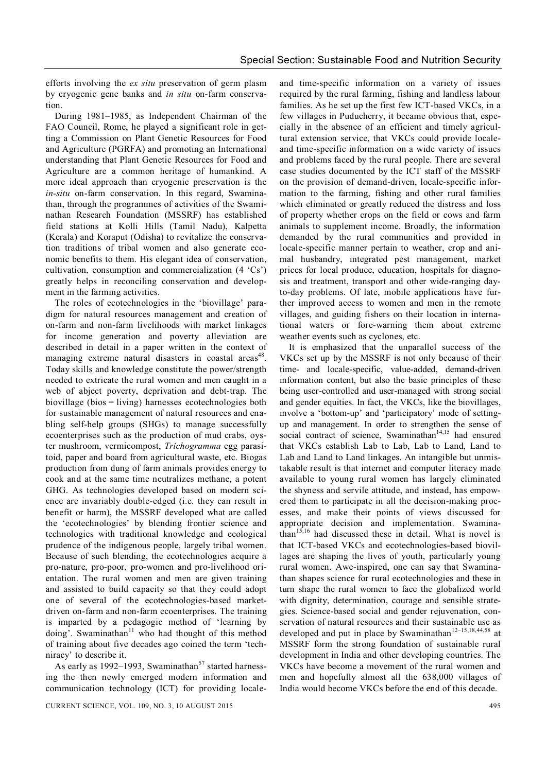efforts involving the *ex situ* preservation of germ plasm by cryogenic gene banks and *in situ* on-farm conservation.

During 1981–1985, as Independent Chairman of the FAO Council, Rome, he played a significant role in getting a Commission on Plant Genetic Resources for Food and Agriculture (PGRFA) and promoting an International understanding that Plant Genetic Resources for Food and Agriculture are a common heritage of humankind. A more ideal approach than cryogenic preservation is the *in-situ* on-farm conservation. In this regard, Swaminathan, through the programmes of activities of the Swaminathan Research Foundation (MSSRF) has established field stations at Kolli Hills (Tamil Nadu), Kalpetta (Kerala) and Koraput (Odisha) to revitalize the conservation traditions of tribal women and also generate economic benefits to them. His elegant idea of conservation, cultivation, consumption and commercialization (4 'Cs') greatly helps in reconciling conservation and development in the farming activities.

The roles of ecotechnologies in the 'biovillage' paradigm for natural resources management and creation of on-farm and non-farm livelihoods with market linkages for income generation and poverty alleviation are described in detail in a paper written in the context of managing extreme natural disasters in coastal areas<sup>48</sup>. Today skills and knowledge constitute the power/strength needed to extricate the rural women and men caught in a web of abject poverty, deprivation and debt-trap. The biovillage (bios = living) harnesses ecotechnologies both for sustainable management of natural resources and enabling self-help groups (SHGs) to manage successfully ecoenterprises such as the production of mud crabs, oyster mushroom, vermicompost, *Trichogramma* egg parasitoid, paper and board from agricultural waste, etc. Biogas production from dung of farm animals provides energy to cook and at the same time neutralizes methane, a potent GHG. As technologies developed based on modern science are invariably double-edged (i.e. they can result in benefit or harm), the MSSRF developed what are called the 'ecotechnologies' by blending frontier science and technologies with traditional knowledge and ecological prudence of the indigenous people, largely tribal women. Because of such blending, the ecotechnologies acquire a pro-nature, pro-poor, pro-women and pro-livelihood orientation. The rural women and men are given training and assisted to build capacity so that they could adopt one of several of the ecotechnologies-based marketdriven on-farm and non-farm ecoenterprises. The training is imparted by a pedagogic method of 'learning by doing'. Swaminathan<sup>11</sup> who had thought of this method of training about five decades ago coined the term 'techniracy' to describe it.

As early as 1992–1993, Swaminathan<sup>57</sup> started harnessing the then newly emerged modern information and communication technology (ICT) for providing locale-

and time-specific information on a variety of issues required by the rural farming, fishing and landless labour families. As he set up the first few ICT-based VKCs, in a few villages in Puducherry, it became obvious that, especially in the absence of an efficient and timely agricultural extension service, that VKCs could provide localeand time-specific information on a wide variety of issues and problems faced by the rural people. There are several case studies documented by the ICT staff of the MSSRF on the provision of demand-driven, locale-specific information to the farming, fishing and other rural families which eliminated or greatly reduced the distress and loss of property whether crops on the field or cows and farm animals to supplement income. Broadly, the information demanded by the rural communities and provided in locale-specific manner pertain to weather, crop and animal husbandry, integrated pest management, market prices for local produce, education, hospitals for diagnosis and treatment, transport and other wide-ranging dayto-day problems. Of late, mobile applications have further improved access to women and men in the remote villages, and guiding fishers on their location in international waters or fore-warning them about extreme weather events such as cyclones, etc.

It is emphasized that the unparallel success of the VKCs set up by the MSSRF is not only because of their time- and locale-specific, value-added, demand-driven information content, but also the basic principles of these being user-controlled and user-managed with strong social and gender equities. In fact, the VKCs, like the biovillages, involve a 'bottom-up' and 'participatory' mode of settingup and management. In order to strengthen the sense of social contract of science, Swaminathan<sup>14,15</sup> had ensured that VKCs establish Lab to Lab, Lab to Land, Land to Lab and Land to Land linkages. An intangible but unmistakable result is that internet and computer literacy made available to young rural women has largely eliminated the shyness and servile attitude, and instead, has empowered them to participate in all the decision-making processes, and make their points of views discussed for appropriate decision and implementation. Swamina- $\tanh^{-15,16}$  had discussed these in detail. What is novel is that ICT-based VKCs and ecotechnologies-based biovillages are shaping the lives of youth, particularly young rural women. Awe-inspired, one can say that Swaminathan shapes science for rural ecotechnologies and these in turn shape the rural women to face the globalized world with dignity, determination, courage and sensible strategies. Science-based social and gender rejuvenation, conservation of natural resources and their sustainable use as developed and put in place by Swaminathan<sup>12-15,18,44,58</sup> at MSSRF form the strong foundation of sustainable rural development in India and other developing countries. The VKCs have become a movement of the rural women and men and hopefully almost all the 638,000 villages of India would become VKCs before the end of this decade.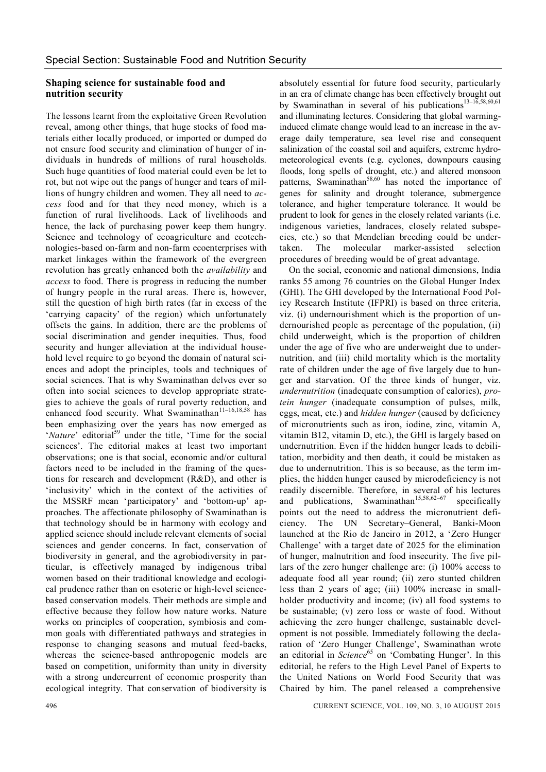#### **Shaping science for sustainable food and nutrition security**

The lessons learnt from the exploitative Green Revolution reveal, among other things, that huge stocks of food materials either locally produced, or imported or dumped do not ensure food security and elimination of hunger of individuals in hundreds of millions of rural households. Such huge quantities of food material could even be let to rot, but not wipe out the pangs of hunger and tears of millions of hungry children and women. They all need to *access* food and for that they need money, which is a function of rural livelihoods. Lack of livelihoods and hence, the lack of purchasing power keep them hungry. Science and technology of ecoagriculture and ecotechnologies-based on-farm and non-farm ecoenterprises with market linkages within the framework of the evergreen revolution has greatly enhanced both the *availability* and *access* to food. There is progress in reducing the number of hungry people in the rural areas. There is, however, still the question of high birth rates (far in excess of the 'carrying capacity' of the region) which unfortunately offsets the gains. In addition, there are the problems of social discrimination and gender inequities. Thus, food security and hunger alleviation at the individual household level require to go beyond the domain of natural sciences and adopt the principles, tools and techniques of social sciences. That is why Swaminathan delves ever so often into social sciences to develop appropriate strategies to achieve the goals of rural poverty reduction, and enhanced food security. What Swaminathan<sup>11-16,18,58</sup> has been emphasizing over the years has now emerged as '*Nature*' editorial<sup>59</sup> under the title. 'Time for the social sciences'. The editorial makes at least two important observations; one is that social, economic and/or cultural factors need to be included in the framing of the questions for research and development (R&D), and other is 'inclusivity' which in the context of the activities of the MSSRF mean 'participatory' and 'bottom-up' approaches. The affectionate philosophy of Swaminathan is that technology should be in harmony with ecology and applied science should include relevant elements of social sciences and gender concerns. In fact, conservation of biodiversity in general, and the agrobiodiversity in particular, is effectively managed by indigenous tribal women based on their traditional knowledge and ecological prudence rather than on esoteric or high-level sciencebased conservation models. Their methods are simple and effective because they follow how nature works. Nature works on principles of cooperation, symbiosis and common goals with differentiated pathways and strategies in response to changing seasons and mutual feed-backs, whereas the science-based anthropogenic models are based on competition, uniformity than unity in diversity with a strong undercurrent of economic prosperity than ecological integrity. That conservation of biodiversity is

absolutely essential for future food security, particularly in an era of climate change has been effectively brought out by Swaminathan in several of his publications<sup>13–16,58,60,61</sup> and illuminating lectures. Considering that global warminginduced climate change would lead to an increase in the average daily temperature, sea level rise and consequent salinization of the coastal soil and aquifers, extreme hydrometeorological events (e.g. cyclones, downpours causing floods, long spells of drought, etc.) and altered monsoon patterns, Swaminathan<sup>58,60</sup> has noted the importance of genes for salinity and drought tolerance, submergence tolerance, and higher temperature tolerance. It would be prudent to look for genes in the closely related variants (i.e. indigenous varieties, landraces, closely related subspecies, etc.) so that Mendelian breeding could be undertaken. The molecular marker-assisted selection procedures of breeding would be of great advantage.

On the social, economic and national dimensions, India ranks 55 among 76 countries on the Global Hunger Index (GHI). The GHI developed by the International Food Policy Research Institute (IFPRI) is based on three criteria, viz. (i) undernourishment which is the proportion of undernourished people as percentage of the population, (ii) child underweight, which is the proportion of children under the age of five who are underweight due to undernutrition, and (iii) child mortality which is the mortality rate of children under the age of five largely due to hunger and starvation. Of the three kinds of hunger, viz. *undernutrition* (inadequate consumption of calories), *protein hunger* (inadequate consumption of pulses, milk, eggs, meat, etc.) and *hidden hunger* (caused by deficiency of micronutrients such as iron, iodine, zinc, vitamin A, vitamin B12, vitamin D, etc.), the GHI is largely based on undernutrition. Even if the hidden hunger leads to debilitation, morbidity and then death, it could be mistaken as due to undernutrition. This is so because, as the term implies, the hidden hunger caused by microdeficiency is not readily discernible. Therefore, in several of his lectures and publications, Swaminathan<sup>15,58,62–67</sup> specifically points out the need to address the micronutrient deficiency. The UN Secretary–General, Banki-Moon launched at the Rio de Janeiro in 2012, a 'Zero Hunger Challenge' with a target date of 2025 for the elimination of hunger, malnutrition and food insecurity. The five pillars of the zero hunger challenge are: (i) 100% access to adequate food all year round; (ii) zero stunted children less than 2 years of age; (iii) 100% increase in smallholder productivity and income; (iv) all food systems to be sustainable; (v) zero loss or waste of food. Without achieving the zero hunger challenge, sustainable development is not possible. Immediately following the declaration of 'Zero Hunger Challenge', Swaminathan wrote an editorial in *Science*<sup>65</sup> on 'Combating Hunger'. In this editorial, he refers to the High Level Panel of Experts to the United Nations on World Food Security that was Chaired by him. The panel released a comprehensive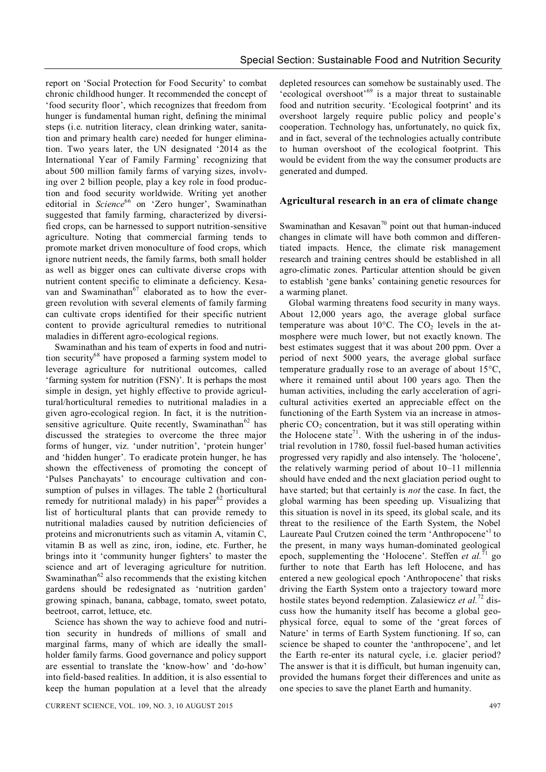report on 'Social Protection for Food Security' to combat chronic childhood hunger. It recommended the concept of 'food security floor', which recognizes that freedom from hunger is fundamental human right, defining the minimal steps (i.e. nutrition literacy, clean drinking water, sanitation and primary health care) needed for hunger elimination. Two years later, the UN designated '2014 as the International Year of Family Farming' recognizing that about 500 million family farms of varying sizes, involving over 2 billion people, play a key role in food production and food security worldwide. Writing yet another editorial in *Science*<sup>66</sup> on 'Zero hunger', Swaminathan suggested that family farming, characterized by diversified crops, can be harnessed to support nutrition-sensitive agriculture. Noting that commercial farming tends to promote market driven monoculture of food crops, which ignore nutrient needs, the family farms, both small holder as well as bigger ones can cultivate diverse crops with nutrient content specific to eliminate a deficiency. Kesavan and Swaminathan<sup>67</sup> elaborated as to how the evergreen revolution with several elements of family farming can cultivate crops identified for their specific nutrient content to provide agricultural remedies to nutritional maladies in different agro-ecological regions.

Swaminathan and his team of experts in food and nutrition security<sup>68</sup> have proposed a farming system model to leverage agriculture for nutritional outcomes, called 'farming system for nutrition (FSN)'. It is perhaps the most simple in design, yet highly effective to provide agricultural/horticultural remedies to nutritional maladies in a given agro-ecological region. In fact, it is the nutritionsensitive agriculture. Quite recently, Swaminathan<sup>62</sup> has discussed the strategies to overcome the three major forms of hunger, viz. 'under nutrition', 'protein hunger' and 'hidden hunger'. To eradicate protein hunger, he has shown the effectiveness of promoting the concept of 'Pulses Panchayats' to encourage cultivation and consumption of pulses in villages. The table 2 (horticultural remedy for nutritional malady) in his paper $62$  provides a list of horticultural plants that can provide remedy to nutritional maladies caused by nutrition deficiencies of proteins and micronutrients such as vitamin A, vitamin C, vitamin B as well as zinc, iron, iodine, etc. Further, he brings into it 'community hunger fighters' to master the science and art of leveraging agriculture for nutrition. Swaminathan $62$  also recommends that the existing kitchen gardens should be redesignated as 'nutrition garden' growing spinach, banana, cabbage, tomato, sweet potato, beetroot, carrot, lettuce, etc.

Science has shown the way to achieve food and nutrition security in hundreds of millions of small and marginal farms, many of which are ideally the smallholder family farms. Good governance and policy support are essential to translate the 'know-how' and 'do-how' into field-based realities. In addition, it is also essential to keep the human population at a level that the already

depleted resources can somehow be sustainably used. The 'ecological overshoot'<sup>69</sup> is a major threat to sustainable food and nutrition security. 'Ecological footprint' and its overshoot largely require public policy and people's cooperation. Technology has, unfortunately, no quick fix, and in fact, several of the technologies actually contribute to human overshoot of the ecological footprint. This would be evident from the way the consumer products are generated and dumped.

#### **Agricultural research in an era of climate change**

Swaminathan and Kesavan<sup>70</sup> point out that human-induced changes in climate will have both common and differentiated impacts. Hence, the climate risk management research and training centres should be established in all agro-climatic zones. Particular attention should be given to establish 'gene banks' containing genetic resources for a warming planet.

Global warming threatens food security in many ways. About 12,000 years ago, the average global surface temperature was about 10 $\degree$ C. The CO<sub>2</sub> levels in the atmosphere were much lower, but not exactly known. The best estimates suggest that it was about 200 ppm. Over a period of next 5000 years, the average global surface temperature gradually rose to an average of about  $15^{\circ}$ C, where it remained until about 100 years ago. Then the human activities, including the early acceleration of agricultural activities exerted an appreciable effect on the functioning of the Earth System via an increase in atmospheric  $CO<sub>2</sub>$  concentration, but it was still operating within the Holocene state<sup>71</sup>. With the ushering in of the industrial revolution in 1780, fossil fuel-based human activities progressed very rapidly and also intensely. The 'holocene', the relatively warming period of about 10–11 millennia should have ended and the next glaciation period ought to have started; but that certainly is *not* the case. In fact, the global warming has been speeding up. Visualizing that this situation is novel in its speed, its global scale, and its threat to the resilience of the Earth System, the Nobel Laureate Paul Crutzen coined the term 'Anthropocene'<sup>1</sup> to the present, in many ways human-dominated geological epoch, supplementing the 'Holocene'. Steffen *et al.* <sup>71</sup> go further to note that Earth has left Holocene, and has entered a new geological epoch 'Anthropocene' that risks driving the Earth System onto a trajectory toward more hostile states beyond redemption. Zalasiewicz et al.<sup>72</sup> discuss how the humanity itself has become a global geophysical force, equal to some of the 'great forces of Nature' in terms of Earth System functioning. If so, can science be shaped to counter the 'anthropocene', and let the Earth re-enter its natural cycle, i.e. glacier period? The answer is that it is difficult, but human ingenuity can, provided the humans forget their differences and unite as one species to save the planet Earth and humanity.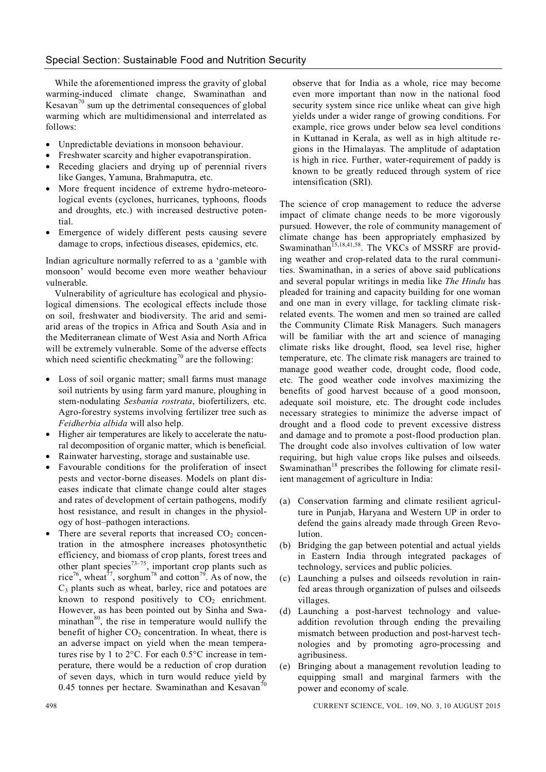While the aforementioned impress the gravity of global warming-induced climate change, Swaminathan and Kesavan<sup>70</sup> sum up the detrimental consequences of global warming which are multidimensional and interrelated as follows:

- Unpredictable deviations in monsoon behaviour.
- Freshwater scarcity and higher evapotranspiration.
- Receding glaciers and drying up of perennial rivers like Ganges, Yamuna, Brahmaputra, etc.
- More frequent incidence of extreme hydro-meteorological events (cyclones, hurricanes, typhoons, floods and droughts, etc.) with increased destructive potential.
- Emergence of widely different pests causing severe damage to crops, infectious diseases, epidemics, etc.

Indian agriculture normally referred to as a 'gamble with monsoon' would become even more weather behaviour vulnerable.

Vulnerability of agriculture has ecological and physiological dimensions. The ecological effects include those on soil, freshwater and biodiversity. The arid and semiarid areas of the tropics in Africa and South Asia and in the Mediterranean climate of West Asia and North Africa will be extremely vulnerable. Some of the adverse effects which need scientific checkmating<sup>70</sup> are the following:

- Loss of soil organic matter; small farms must manage soil nutrients by using farm yard manure, ploughing in stem-nodulating *Sesbania rostrata*, biofertilizers, etc. Agro-forestry systems involving fertilizer tree such as *Feidherbia albida* will also help.
- Higher air temperatures are likely to accelerate the natural decomposition of organic matter, which is beneficial.
- Rainwater harvesting, storage and sustainable use.
- Favourable conditions for the proliferation of insect pests and vector-borne diseases. Models on plant diseases indicate that climate change could alter stages and rates of development of certain pathogens, modify host resistance, and result in changes in the physiology of host–pathogen interactions.
- There are several reports that increased  $CO<sub>2</sub>$  concentration in the atmosphere increases photosynthetic efficiency, and biomass of crop plants, forest trees and other plant species $^{73-75}$ , important crop plants such as rice<sup>76</sup>, wheat<sup>77</sup>, sorghum<sup>78</sup> and cotton<sup>79</sup>. As of now, the  $C_3$  plants such as wheat, barley, rice and potatoes are known to respond positively to  $CO<sub>2</sub>$  enrichment. However, as has been pointed out by Sinha and Swaminathan<sup>80</sup>, the rise in temperature would nullify the benefit of higher  $CO<sub>2</sub>$  concentration. In wheat, there is an adverse impact on yield when the mean temperatures rise by 1 to  $2^{\circ}$ C. For each  $0.5^{\circ}$ C increase in temperature, there would be a reduction of crop duration of seven days, which in turn would reduce yield by 0.45 tonnes per hectare. Swaminathan and Kesavan<sup>70</sup>

observe that for India as a whole, rice may become even more important than now in the national food security system since rice unlike wheat can give high yields under a wider range of growing conditions. For example, rice grows under below sea level conditions in Kuttanad in Kerala, as well as in high altitude regions in the Himalayas. The amplitude of adaptation is high in rice. Further, water-requirement of paddy is known to be greatly reduced through system of rice intensification (SRI).

The science of crop management to reduce the adverse impact of climate change needs to be more vigorously pursued. However, the role of community management of climate change has been appropriately emphasized by Swaminathan<sup>15,18,41,58</sup>. The VKCs of MSSRF are providing weather and crop-related data to the rural communities. Swaminathan, in a series of above said publications and several popular writings in media like *The Hindu* has pleaded for training and capacity building for one woman and one man in every village, for tackling climate riskrelated events. The women and men so trained are called the Community Climate Risk Managers. Such managers will be familiar with the art and science of managing climate risks like drought, flood, sea level rise, higher temperature, etc. The climate risk managers are trained to manage good weather code, drought code, flood code, etc. The good weather code involves maximizing the benefits of good harvest because of a good monsoon, adequate soil moisture, etc. The drought code includes necessary strategies to minimize the adverse impact of drought and a flood code to prevent excessive distress and damage and to promote a post-flood production plan. The drought code also involves cultivation of low water requiring, but high value crops like pulses and oilseeds. Swaminathan<sup>18</sup> prescribes the following for climate resilient management of agriculture in India:

- (a) Conservation farming and climate resilient agriculture in Punjab, Haryana and Western UP in order to defend the gains already made through Green Revolution.
- (b) Bridging the gap between potential and actual yields in Eastern India through integrated packages of technology, services and public policies.
- (c) Launching a pulses and oilseeds revolution in rainfed areas through organization of pulses and oilseeds villages.
- (d) Launching a post-harvest technology and valueaddition revolution through ending the prevailing mismatch between production and post-harvest technologies and by promoting agro-processing and agribusiness.
- (e) Bringing about a management revolution leading to equipping small and marginal farmers with the power and economy of scale.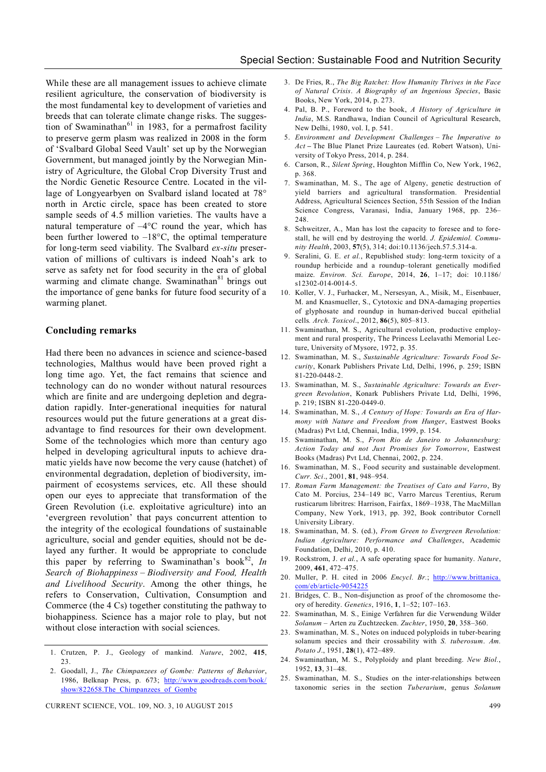While these are all management issues to achieve climate resilient agriculture, the conservation of biodiversity is the most fundamental key to development of varieties and breeds that can tolerate climate change risks. The suggestion of Swaminathan $^{61}$  in 1983, for a permafrost facility to preserve germ plasm was realized in 2008 in the form of 'Svalbard Global Seed Vault' set up by the Norwegian Government, but managed jointly by the Norwegian Ministry of Agriculture, the Global Crop Diversity Trust and the Nordic Genetic Resource Centre. Located in the village of Longyearbyen on Svalbard island located at 78° north in Arctic circle, space has been created to store sample seeds of 4.5 million varieties. The vaults have a natural temperature of  $-4^{\circ}$ C round the year, which has been further lowered to  $-18^{\circ}$ C, the optimal temperature for long-term seed viability. The Svalbard *ex-situ* preservation of millions of cultivars is indeed Noah's ark to serve as safety net for food security in the era of global warming and climate change. Swaminathan<sup>81</sup> brings out the importance of gene banks for future food security of a warming planet.

#### **Concluding remarks**

Had there been no advances in science and science-based technologies, Malthus would have been proved right a long time ago. Yet, the fact remains that science and technology can do no wonder without natural resources which are finite and are undergoing depletion and degradation rapidly. Inter-generational inequities for natural resources would put the future generations at a great disadvantage to find resources for their own development. Some of the technologies which more than century ago helped in developing agricultural inputs to achieve dramatic yields have now become the very cause (hatchet) of environmental degradation, depletion of biodiversity, impairment of ecosystems services, etc. All these should open our eyes to appreciate that transformation of the Green Revolution (i.e. exploitative agriculture) into an 'evergreen revolution' that pays concurrent attention to the integrity of the ecological foundations of sustainable agriculture, social and gender equities, should not be delayed any further. It would be appropriate to conclude this paper by referring to Swaminathan's book<sup>82</sup>,  $In$ *Search of Biohappiness – Biodiversity and Food, Health and Livelihood Security*. Among the other things, he refers to Conservation, Cultivation, Consumption and Commerce (the 4 Cs) together constituting the pathway to biohappiness. Science has a major role to play, but not without close interaction with social sciences.

1. Crutzen, P. J., Geology of mankind. *Nature*, 2002, **415**, 23.

- 3. De Fries, R., *The Big Ratchet: How Humanity Thrives in the Face of Natural Crisis*. *A Biography of an Ingenious Species*, Basic Books, New York, 2014, p. 273.
- 4. Pal, B. P., Foreword to the book, *A History of Agriculture in India*, M.S. Randhawa, Indian Council of Agricultural Research, New Delhi, 1980, vol. I, p. 541.
- 5. *Environment and Development Challenges – The Imperative to Act* **–** The Blue Planet Prize Laureates (ed. Robert Watson), University of Tokyo Press, 2014, p. 284.
- 6. Carson, R., *Silent Spring*, Houghton Mifflin Co, New York, 1962, p. 368.
- 7. Swaminathan, M. S., The age of Algeny, genetic destruction of yield barriers and agricultural transformation. Presidential Address, Agricultural Sciences Section, 55th Session of the Indian Science Congress, Varanasi, India, January 1968, pp. 236– 248
- 8. Schweitzer, A., Man has lost the capacity to foresee and to forestall, he will end by destroying the world. *J. Epidemiol. Community Health*, 2003, **57**(5), 314; doi:10.1136/jech.57.5.314-a.
- 9. Seralini, G. E. *et al.*, Republished study: long-term toxicity of a roundup herbicide and a roundup–tolerant genetically modified maize. *Environ. Sci. Europe*, 2014, **26**, 1–17; doi: 10.1186/ s12302-014-0014-5.
- 10. Koller, V. J., Furhacker, M., Nersesyan, A., Misik, M., Eisenbauer, M. and Knasmueller, S., Cytotoxic and DNA-damaging properties of glyphosate and roundup in human-derived buccal epithelial cells*. Arch. Toxicol*., 2012, **86**(5), 805–813.
- 11. Swaminathan, M. S., Agricultural evolution, productive employment and rural prosperity, The Princess Leelavathi Memorial Lecture, University of Mysore, 1972, p. 35.
- 12. Swaminathan, M. S., *Sustainable Agriculture: Towards Food Security*, Konark Publishers Private Ltd, Delhi, 1996, p. 259; ISBN 81-220-0448-2.
- 13. Swaminathan, M. S., *Sustainable Agriculture: Towards an Evergreen Revolution*, Konark Publishers Private Ltd, Delhi, 1996, p. 219; ISBN 81-220-0449-0.
- 14. Swaminathan, M. S., *A Century of Hope: Towards an Era of Harmony with Nature and Freedom from Hunger*, Eastwest Books (Madras) Pvt Ltd, Chennai, India, 1999, p. 154.
- 15. Swaminathan, M. S., *From Rio de Janeiro to Johannesburg: Action Today and not Just Promises for Tomorrow*, Eastwest Books (Madras) Pvt Ltd, Chennai, 2002, p. 224.
- 16. Swaminathan, M. S., Food security and sustainable development. *Curr. Sci*., 2001, **81**, 948–954.
- 17. *Roman Farm Management: the Treatises of Cato and Varro*, By Cato M. Porcius, 234–149 BC, Varro Marcus Terentius, Rerum rusticarum libritres: Harrison, Fairfax, 1869–1938, The MacMillan Company, New York, 1913, pp. 392, Book contributor Cornell University Library.
- 18. Swaminathan, M. S. (ed.), *From Green to Evergreen Revolution: Indian Agriculture: Performance and Challenges*, Academic Foundation, Delhi, 2010, p. 410.
- 19. Rockstrom, J. *et al.*, A safe operating space for humanity. *Nature*, 2009, **461**, 472–475.
- 20. Muller, P. H. cited in 2006 *Encycl. Br.*; http://www.brittanica. com/eb/article-9054225
- 21. Bridges, C. B., Non-disjunction as proof of the chromosome theory of heredity. *Genetics*, 1916, **1**, 1–52; 107–163.
- 22. Swaminathan, M. S., Einige Verfahren fur die Verwendung Wilder *Solanum –* Arten zu Zuchtzecken. *Zuchter*, 1950, **20**, 358–360.
- 23. Swaminathan, M. S., Notes on induced polyploids in tuber-bearing solanum species and their crossability with *S. tuberosum*. *Am. Potato J*., 1951, **28**(1), 472–489.
- 24. Swaminathan, M. S., Polyploidy and plant breeding. *New Biol.*, 1952, **13**, 31–48.
- 25. Swaminathan, M. S., Studies on the inter-relationships between taxonomic series in the section *Tuberarium*, genus *Solanum*

<sup>2.</sup> Goodall, J., *The Chimpanzees of Gombe: Patterns of Behavior*, 1986, Belknap Press, p. 673; http://www.goodreads.com/book/ show/822658.The\_Chimpanzees\_of\_Gombe

CURRENT SCIENCE, VOL. 109, NO. 3, 10 AUGUST 2015 499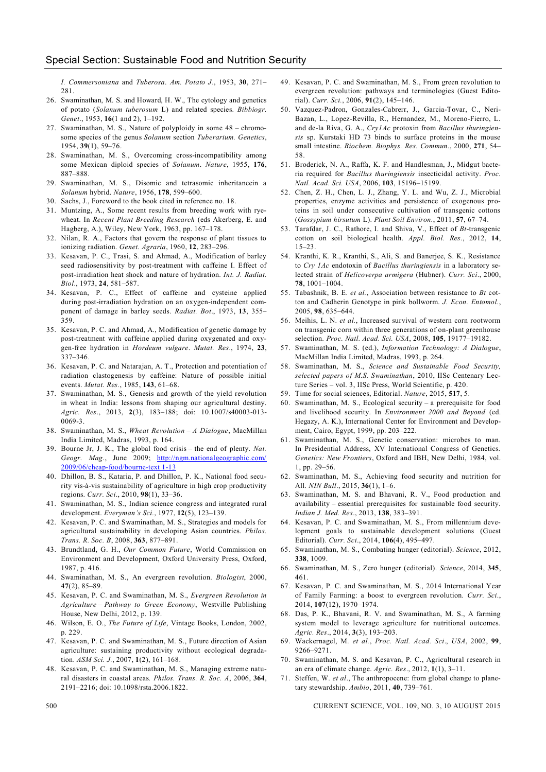*I. Commersoniana* and *Tuberosa*. *Am. Potato J*., 1953, **30**, 271– 281.

- 26. Swaminathan, M. S. and Howard, H. W., The cytology and genetics of potato (*Solanum tuberosum* L) and related species. *Bibbiogr. Genet*., 1953, **16**(1 and 2), 1–192.
- 27. Swaminathan, M. S., Nature of polyploidy in some 48 chromosome species of the genus *Solanum* section *Tuberarium. Genetics*, 1954, **39**(1), 59–76.
- 28. Swaminathan, M. S., Overcoming cross-incompatibility among some Mexican diploid species of *Solanum*. *Nature*, 1955, **176**, 887–888.
- 29. Swaminathan, M. S., Disomic and tetrasomic inheritancein a *Solanum* hybrid. *Nature*, 1956, **178**, 599–600.
- 30. Sachs, J., Foreword to the book cited in reference no. 18.
- 31. Muntzing, A., Some recent results from breeding work with ryewheat. In *Recent Plant Breeding Research* (eds Akerberg, E. and Hagberg, A.), Wiley, New York, 1963, pp. 167–178.
- 32. Nilan, R. A., Factors that govern the response of plant tissues to ionizing radiation. *Genet. Agraria*, 1960, **12**, 283–296.
- 33. Kesavan, P. C., Trasi, S. and Ahmad, A., Modification of barley seed radiosensitivity by post-treatment with caffeine I. Effect of post-irradiation heat shock and nature of hydration. *Int. J. Radiat. Biol*., 1973, **24**, 581–587.
- 34. Kesavan, P. C., Effect of caffeine and cysteine applied during post-irradiation hydration on an oxygen-independent component of damage in barley seeds. *Radiat. Bot*., 1973, **13**, 355– 359.
- 35. Kesavan, P. C. and Ahmad, A., Modification of genetic damage by post-treatment with caffeine applied during oxygenated and oxygen-free hydration in *Hordeum vulgare*. *Mutat. Res*., 1974, **23**, 337–346.
- 36. Kesavan, P. C. and Natarajan, A. T., Protection and potentiation of radiation clastogenesis by caffeine: Nature of possible initial events. *Mutat. Res.*, 1985, **143**, 61–68.
- 37. Swaminathan, M. S., Genesis and growth of the yield revolution in wheat in India: lessons from shaping our agricultural destiny. *Agric. Res*., 2013, **2**(3), 183–188; doi: 10.1007/s40003-013- 0069-3.
- 38. Swaminathan, M. S., *Wheat Revolution – A Dialogue*, MacMillan India Limited, Madras, 1993, p. 164.
- 39. Bourne Jr, J. K., The global food crisis the end of plenty. *Nat. Geogr. Mag.*, June 2009; http://ngm.nationalgeographic.com/ 2009/06/cheap-food/bourne-text 1-13
- 40. Dhillon, B. S., Kataria, P. and Dhillon, P. K., National food security vis-à-vis sustainability of agriculture in high crop productivity regions. *Curr. Sci*., 2010, **98**(1), 33–36.
- 41. Swaminathan, M. S., Indian science congress and integrated rural development. *Everyman's Sci.*, 1977, **12**(5), 123–139.
- 42. Kesavan, P. C. and Swaminathan, M. S., Strategies and models for agricultural sustainability in developing Asian countries. *Philos. Trans. R. Soc. B*, 2008, **363**, 877–891.
- 43. Brundtland, G. H., *Our Common Future*, World Commission on Environment and Development, Oxford University Press, Oxford, 1987, p. 416.
- 44. Swaminathan, M. S., An evergreen revolution. *Biologist*, 2000, **47**(2), 85–89.
- 45. Kesavan, P. C. and Swaminathan, M. S., *Evergreen Revolution in Agriculture – Pathway to Green Economy*, Westville Publishing House, New Delhi, 2012, p. 139.
- 46. Wilson, E. O., *The Future of Life*, Vintage Books, London, 2002, p. 229.
- 47. Kesavan, P. C. and Swaminathan, M. S., Future direction of Asian agriculture: sustaining productivity without ecological degradation. *ASM Sci. J.*, 2007, **1**(2), 161–168.
- 48. Kesavan, P. C. and Swaminathan, M. S., Managing extreme natural disasters in coastal areas*. Philos. Trans. R. Soc. A*, 2006, **364**, 2191–2216; doi: 10.1098/rsta.2006.1822.
- 49. Kesavan, P. C. and Swaminathan, M. S., From green revolution to evergreen revolution: pathways and terminologies (Guest Editorial). *Curr. Sci.*, 2006, **91**(2), 145–146.
- 50. Vazquez-Padron, Gonzales-Cabrerr, J., Garcia-Tovar, C., Neri-Bazan, L., Lopez-Revilla, R., Hernandez, M., Moreno-Fierro, L. and de-la Riva, G. A., *Cry1Ac* protoxin from *Bacillus thuringiensis* sp. Kurstaki HD 73 binds to surface proteins in the mouse small intestine. *Biochem. Biophys. Res. Commun*., 2000, **271**, 54– 58.
- 51. Broderick, N. A., Raffa, K. F. and Handlesman, J., Midgut bacteria required for *Bacillus thuringiensis* insecticidal activity. *Proc. Natl. Acad. Sci. USA*, 2006, **103**, 15196–15199.
- 52. Chen, Z. H., Chen, L. J., Zhang, Y. L. and Wu, Z. J., Microbial properties, enzyme activities and persistence of exogenous proteins in soil under consecutive cultivation of transgenic cottons (*Gossypium hirsutum* L). *Plant Soil Environ.*, 2011, **57**, 67–74.
- 53. Tarafdar, J. C., Rathore, I. and Shiva, V., Effect of *Bt*-transgenic cotton on soil biological health. *Appl. Biol. Res*., 2012, **14**, 15–23.
- 54. Kranthi, K. R., Kranthi, S., Ali, S. and Banerjee, S. K., Resistance to *Cry 1Ac* endotoxin of *Bacillus thuringiensis* in a laboratory selected strain of *Helicoverpa armigera* (Hubner). *Curr. Sci*., 2000, **78**, 1001–1004.
- 55. Tabashnik, B. E. *et al.*, Association between resistance to *Bt* cotton and Cadherin Genotype in pink bollworm. *J. Econ. Entomol.*, 2005, **98**, 635–644.
- 56. Meihis, L. N. *et al.*, Increased survival of western corn rootworm on transgenic corn within three generations of on-plant greenhouse selection. *Proc. Natl. Acad. Sci. USA*, 2008, **105**, 19177–19182.
- 57. Swaminathan, M. S. (ed.), *Information Technology: A Dialogue*, MacMillan India Limited, Madras, 1993, p. 264.
- 58. Swaminathan, M. S., *Science and Sustainable Food Security, selected papers of M.S. Swaminathan*, 2010, IISc Centenary Lecture Series – vol. 3, IISc Press, World Scientific, p. 420.
- 59. Time for social sciences, Editorial. *Nature*, 2015, **517**, 5.
- 60. Swaminathan, M. S., Ecological security a prerequisite for food and livelihood security. In *Environment 2000 and Beyond* (ed. Hegazy, A. K.), International Center for Environment and Development, Cairo, Egypt, 1999, pp. 203–222.
- 61. Swaminathan, M. S., Genetic conservation: microbes to man. In Presidential Address, XV International Congress of Genetics. *Genetics: New Frontiers*, Oxford and IBH, New Delhi, 1984, vol. 1, pp. 29–56.
- 62. Swaminathan, M. S., Achieving food security and nutrition for All. *NIN Bull*., 2015, **36**(1), 1–6.
- 63. Swaminathan, M. S. and Bhavani, R. V., Food production and availability – essential prerequisites for sustainable food security. *Indian J. Med. Res*., 2013, **138**, 383–391.
- 64. Kesavan, P. C. and Swaminathan, M. S., From millennium development goals to sustainable development solutions (Guest Editorial). *Curr. Sci*., 2014, **106**(4), 495–497.
- 65. Swaminathan, M. S., Combating hunger (editorial). *Science*, 2012, **338**, 1009.
- 66. Swaminathan, M. S., Zero hunger (editorial). *Science*, 2014, **345**, 461.
- 67. Kesavan, P. C. and Swaminathan, M. S., 2014 International Year of Family Farming: a boost to evergreen revolution. *Curr. Sci*., 2014, **107**(12), 1970–1974.
- 68. Das, P. K., Bhavani, R. V. and Swaminathan, M. S., A farming system model to leverage agriculture for nutritional outcomes. *Agric. Res*., 2014, **3**(3), 193–203.
- 69. Wackernagel, M. *et al.*, *Proc. Natl. Acad. Sci*., *USA*, 2002, **99**, 9266–9271.
- 70. Swaminathan, M. S. and Kesavan, P. C., Agricultural research in an era of climate change. *Agric. Res*., 2012, **1**(1), 3–11.
- 71. Steffen, W. *et al*., The anthropocene: from global change to planetary stewardship. *Ambio*, 2011, **40**, 739–761.

500 CURRENT SCIENCE, VOL. 109, NO. 3, 10 AUGUST 2015